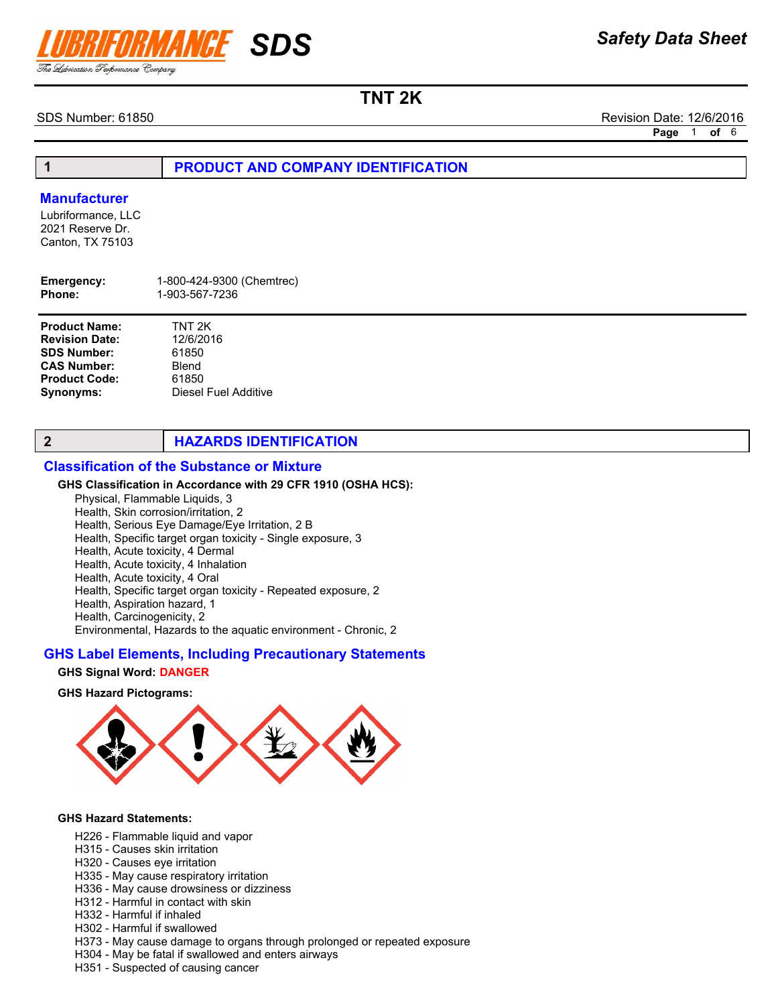

SDS Number: 61850 Revision Date: 12/6/2016

Page 1 of 6

1 **PRODUCT AND COMPANY IDENTIFICATION** 

#### **Manufacturer**

Lubriformance, LLC 2021 Reserve Dr. Canton, TX 75103

| 1-800-424-9300 (Chemtrec) |
|---------------------------|
| 1-903-567-7236            |
|                           |

| <b>Product Name:</b>  | TNT 2K               |
|-----------------------|----------------------|
| <b>Revision Date:</b> | 12/6/2016            |
| <b>SDS Number:</b>    | 61850                |
| <b>CAS Number:</b>    | Blend                |
| <b>Product Code:</b>  | 61850                |
| Synonyms:             | Diesel Fuel Additive |

## 2 **HAZARDS IDENTIFICATION**

#### Classification of the Substance or Mixture

#### GHS Classification in Accordance with 29 CFR 1910 (OSHA HCS):

Physical, Flammable Liquids, 3 Health, Skin corrosion/irritation, 2 Health, Serious Eye Damage/Eye Irritation, 2 B Health, Specific target organ toxicity - Single exposure, 3

- Health, Acute toxicity, 4 Dermal
- Health, Acute toxicity, 4 Inhalation Health, Acute toxicity, 4 Oral
- Health, Specific target organ toxicity Repeated exposure, 2
- Health, Aspiration hazard, 1
- Health, Carcinogenicity, 2

Environmental, Hazards to the aquatic environment - Chronic, 2

#### GHS Label Elements, Including Precautionary Statements

#### GHS Signal Word: DANGER

#### GHS Hazard Pictograms:



#### GHS Hazard Statements:

- H226 Flammable liquid and vapor
- H315 Causes skin irritation
- H320 Causes eye irritation
- H335 May cause respiratory irritation
- H336 May cause drowsiness or dizziness
- H312 Harmful in contact with skin
- H332 Harmful if inhaled
- H302 Harmful if swallowed
- H373 May cause damage to organs through prolonged or repeated exposure
- H304 May be fatal if swallowed and enters airways
- H351 Suspected of causing cancer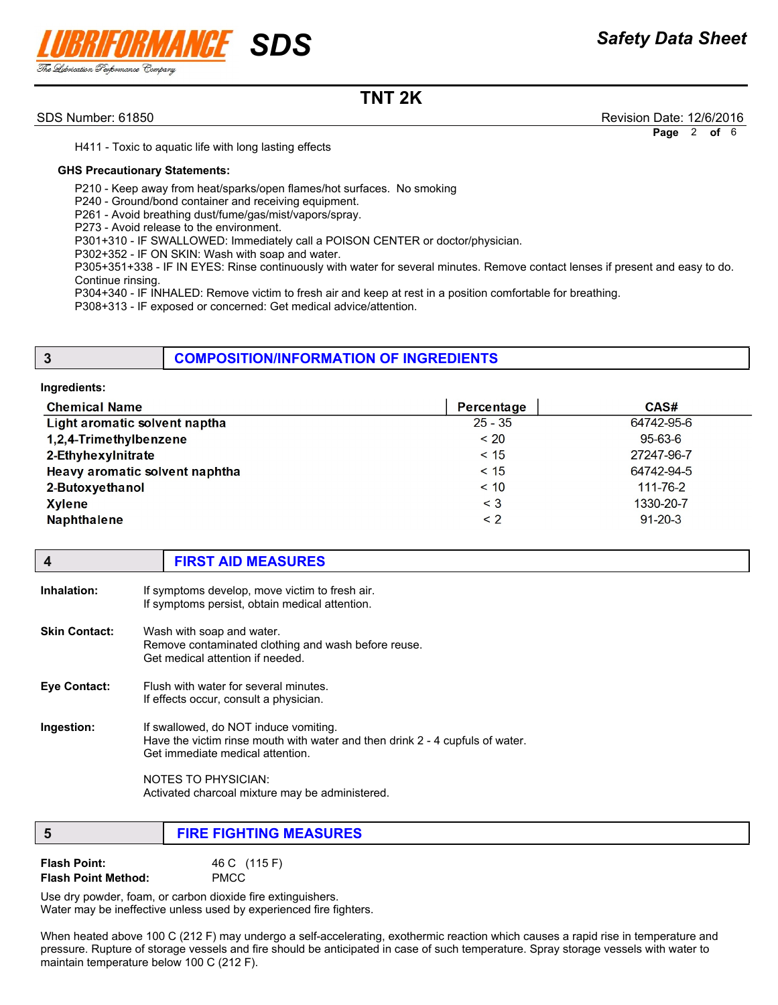

SDS Number: 61850 Revision Date: 12/6/2016

Page 2 of 6

H411 - Toxic to aquatic life with long lasting effects

#### GHS Precautionary Statements:

P210 - Keep away from heat/sparks/open flames/hot surfaces. No smoking

P240 - Ground/bond container and receiving equipment.

P261 - Avoid breathing dust/fume/gas/mist/vapors/spray.

P273 - Avoid release to the environment.

P301+310 - IF SWALLOWED: Immediately call a POISON CENTER or doctor/physician.

P302+352 - IF ON SKIN: Wash with soap and water.

P305+351+338 - IF IN EYES: Rinse continuously with water for several minutes. Remove contact lenses if present and easy to do. Continue rinsing.

P304+340 - IF INHALED: Remove victim to fresh air and keep at rest in a position comfortable for breathing.

P308+313 - IF exposed or concerned: Get medical advice/attention.

## **3** COMPOSITION/INFORMATION OF INGREDIENTS

#### Ingredients:

| <b>Chemical Name</b>           | Percentage | CAS#           |
|--------------------------------|------------|----------------|
| Light aromatic solvent naptha  | $25 - 35$  | 64742-95-6     |
| 1,2,4-Trimethylbenzene         | < 20       | 95-63-6        |
| 2-Ethyhexylnitrate             | < 15       | 27247-96-7     |
| Heavy aromatic solvent naphtha | < 15       | 64742-94-5     |
| 2-Butoxyethanol                | < 10       | $111 - 76 - 2$ |
| <b>Xylene</b>                  | $\leq 3$   | 1330-20-7      |
| <b>Naphthalene</b>             | $\leq$ 2   | $91 - 20 - 3$  |
|                                |            |                |

|             | <b>FIRST AID MEASURES</b>                      |  |
|-------------|------------------------------------------------|--|
| Inhalation: | If symptoms develop, move victim to fresh air. |  |

|                      | If symptoms persist, obtain medical attention.                                                                       |
|----------------------|----------------------------------------------------------------------------------------------------------------------|
| <b>Skin Contact:</b> | Wash with soap and water.<br>Remove contaminated clothing and wash before reuse.<br>Get medical attention if needed. |
| <b>Eve Contact:</b>  | Flush with water for several minutes.<br>If effects occur, consult a physician.                                      |
| Ingestion:           | If swallowed, do NOT induce vomiting.                                                                                |

Have the victim rinse mouth with water and then drink 2 - 4 cupfuls of water. Get immediate medical attention.

> NOTES TO PHYSICIAN: Activated charcoal mixture may be administered.

| <b>FIRE FIGHTING MEASURES</b> |
|-------------------------------|
|                               |

| <b>Flash Point:</b>        | 46 C (115 F) |
|----------------------------|--------------|
| <b>Flash Point Method:</b> | <b>PMCC</b>  |

Use dry powder, foam, or carbon dioxide fire extinguishers. Water may be ineffective unless used by experienced fire fighters.

When heated above 100 C (212 F) may undergo a self-accelerating, exothermic reaction which causes a rapid rise in temperature and pressure. Rupture of storage vessels and fire should be anticipated in case of such temperature. Spray storage vessels with water to maintain temperature below 100 C (212 F).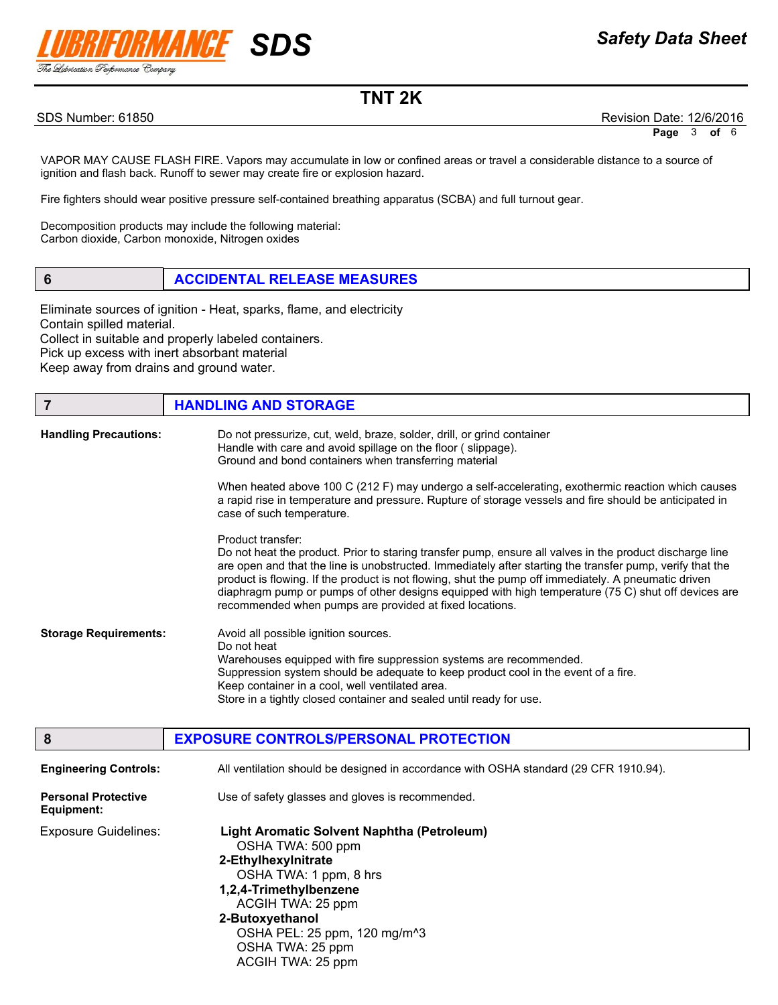

SDS Number: 61850 Revision Date: 12/6/2016

VAPOR MAY CAUSE FLASH FIRE. Vapors may accumulate in low or confined areas or travel a considerable distance to a source of ignition and flash back. Runoff to sewer may create fire or explosion hazard.

Fire fighters should wear positive pressure self-contained breathing apparatus (SCBA) and full turnout gear.

Decomposition products may include the following material: Carbon dioxide, Carbon monoxide, Nitrogen oxides

6 ACCIDENTAL RELEASE MEASURES

Eliminate sources of ignition - Heat, sparks, flame, and electricity Contain spilled material. Collect in suitable and properly labeled containers. Pick up excess with inert absorbant material Keep away from drains and ground water.

| 7                            | <b>HANDLING AND STORAGE</b>                                                                                                                                                                                                                                                                                                                                                                                                                                                                                          |
|------------------------------|----------------------------------------------------------------------------------------------------------------------------------------------------------------------------------------------------------------------------------------------------------------------------------------------------------------------------------------------------------------------------------------------------------------------------------------------------------------------------------------------------------------------|
| <b>Handling Precautions:</b> | Do not pressurize, cut, weld, braze, solder, drill, or grind container<br>Handle with care and avoid spillage on the floor (slippage).<br>Ground and bond containers when transferring material                                                                                                                                                                                                                                                                                                                      |
|                              | When heated above 100 C (212 F) may undergo a self-accelerating, exothermic reaction which causes<br>a rapid rise in temperature and pressure. Rupture of storage vessels and fire should be anticipated in<br>case of such temperature.                                                                                                                                                                                                                                                                             |
|                              | Product transfer:<br>Do not heat the product. Prior to staring transfer pump, ensure all valves in the product discharge line<br>are open and that the line is unobstructed. Immediately after starting the transfer pump, verify that the<br>product is flowing. If the product is not flowing, shut the pump off immediately. A pneumatic driven<br>diaphragm pump or pumps of other designs equipped with high temperature (75 C) shut off devices are<br>recommended when pumps are provided at fixed locations. |
| <b>Storage Requirements:</b> | Avoid all possible ignition sources.<br>Do not heat<br>Warehouses equipped with fire suppression systems are recommended.<br>Suppression system should be adequate to keep product cool in the event of a fire.<br>Keep container in a cool, well ventilated area.<br>Store in a tightly closed container and sealed until ready for use.                                                                                                                                                                            |

| 8                                        | <b>EXPOSURE CONTROLS/PERSONAL PROTECTION</b>                                                                                                                                                                                                                            |
|------------------------------------------|-------------------------------------------------------------------------------------------------------------------------------------------------------------------------------------------------------------------------------------------------------------------------|
| <b>Engineering Controls:</b>             | All ventilation should be designed in accordance with OSHA standard (29 CFR 1910.94).                                                                                                                                                                                   |
| <b>Personal Protective</b><br>Equipment: | Use of safety glasses and gloves is recommended.                                                                                                                                                                                                                        |
| <b>Exposure Guidelines:</b>              | Light Aromatic Solvent Naphtha (Petroleum)<br>OSHA TWA: 500 ppm<br>2-Ethylhexylnitrate<br>OSHA TWA: 1 ppm, 8 hrs<br>1,2,4-Trimethylbenzene<br>ACGIH TWA: 25 ppm<br>2-Butoxyethanol<br>OSHA PEL: 25 ppm, 120 mg/m <sup>^3</sup><br>OSHA TWA: 25 ppm<br>ACGIH TWA: 25 ppm |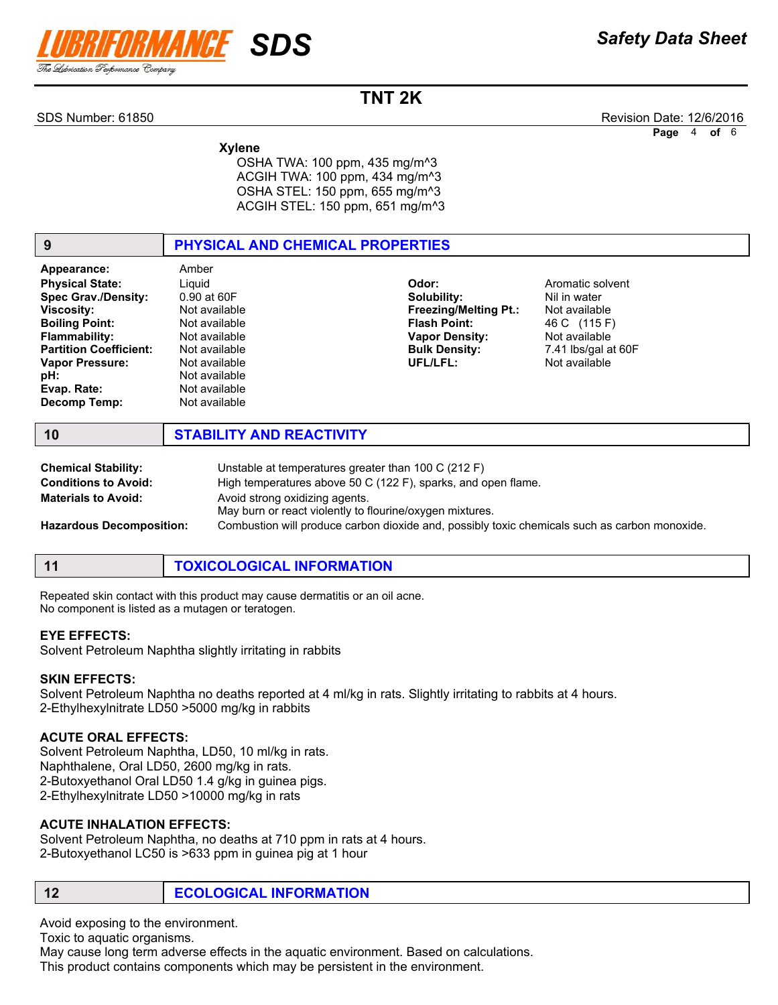

SDS Number: 61850 Revision Date: 12/6/2016

Page 4 of 6

 Xylene OSHA TWA: 100 ppm, 435 mg/m^3 ACGIH TWA: 100 ppm, 434 mg/m^3 OSHA STEL: 150 ppm, 655 mg/m^3 ACGIH STEL: 150 ppm, 651 mg/m^3

| 9                                                                                                                                                                                                                                          | PHYSICAL AND CHEMICAL PROPERTIES                                                                                                                                       |                                                                                                                                          |                                                                                                                            |
|--------------------------------------------------------------------------------------------------------------------------------------------------------------------------------------------------------------------------------------------|------------------------------------------------------------------------------------------------------------------------------------------------------------------------|------------------------------------------------------------------------------------------------------------------------------------------|----------------------------------------------------------------------------------------------------------------------------|
| Appearance:<br><b>Physical State:</b><br><b>Spec Grav./Density:</b><br><b>Viscosity:</b><br><b>Boiling Point:</b><br><b>Flammability:</b><br><b>Partition Coefficient:</b><br><b>Vapor Pressure:</b><br>pH:<br>Evap. Rate:<br>Decomp Temp: | Amber<br>Liquid<br>0.90 at 60F<br>Not available<br>Not available<br>Not available<br>Not available<br>Not available<br>Not available<br>Not available<br>Not available | Odor:<br>Solubility:<br><b>Freezing/Melting Pt.:</b><br><b>Flash Point:</b><br><b>Vapor Density:</b><br><b>Bulk Density:</b><br>UFL/LFL: | Aromatic solvent<br>Nil in water<br>Not available<br>46 C (115 F)<br>Not available<br>7.41 lbs/gal at 60F<br>Not available |
| 10                                                                                                                                                                                                                                         | <b>STABILITY AND REACTIVITY</b>                                                                                                                                        |                                                                                                                                          |                                                                                                                            |
| <b>Chemical Stability:</b>                                                                                                                                                                                                                 | Unstable at temperatures greater than 100 C (212 F)                                                                                                                    |                                                                                                                                          |                                                                                                                            |

| <b>Chemical Stability:</b>      | Unstable at temperatures greater than 100 C (212 F)                                           |
|---------------------------------|-----------------------------------------------------------------------------------------------|
| <b>Conditions to Avoid:</b>     | High temperatures above 50 C (122 F), sparks, and open flame.                                 |
| <b>Materials to Avoid:</b>      | Avoid strong oxidizing agents.                                                                |
|                                 | May burn or react violently to flourine/oxygen mixtures.                                      |
| <b>Hazardous Decomposition:</b> | Combustion will produce carbon dioxide and, possibly toxic chemicals such as carbon monoxide. |

11 **TOXICOLOGICAL INFORMATION** 

Repeated skin contact with this product may cause dermatitis or an oil acne. No component is listed as a mutagen or teratogen.

#### EYE EFFECTS:

Solvent Petroleum Naphtha slightly irritating in rabbits

#### SKIN EFFECTS:

Solvent Petroleum Naphtha no deaths reported at 4 ml/kg in rats. Slightly irritating to rabbits at 4 hours. 2-Ethylhexylnitrate LD50 >5000 mg/kg in rabbits

#### ACUTE ORAL EFFECTS:

Solvent Petroleum Naphtha, LD50, 10 ml/kg in rats. Naphthalene, Oral LD50, 2600 mg/kg in rats. 2-Butoxyethanol Oral LD50 1.4 g/kg in guinea pigs. 2-Ethylhexylnitrate LD50 >10000 mg/kg in rats

#### ACUTE INHALATION EFFECTS:

Solvent Petroleum Naphtha, no deaths at 710 ppm in rats at 4 hours. 2-Butoxyethanol LC50 is >633 ppm in guinea pig at 1 hour

12 **ECOLOGICAL INFORMATION** 

Avoid exposing to the environment.

Toxic to aquatic organisms.

May cause long term adverse effects in the aquatic environment. Based on calculations.

This product contains components which may be persistent in the environment.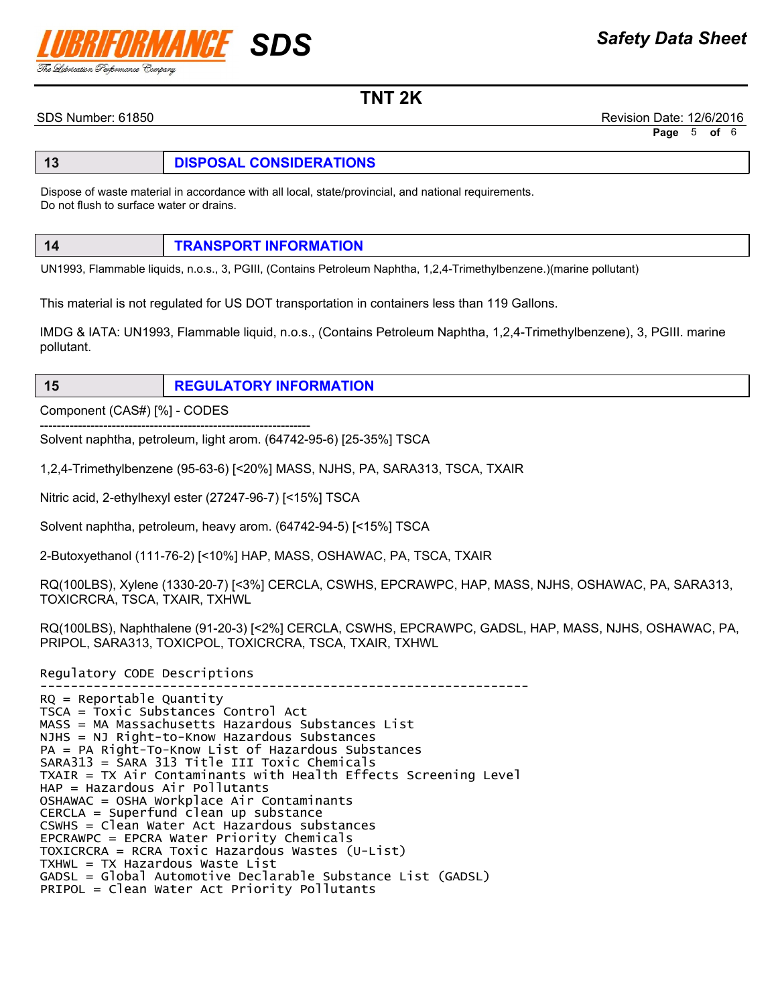# III SDS

TNT 2K

SDS Number: 61850 Revision Date: 12/6/2016

Page 5 of 6

## 13 **DISPOSAL CONSIDERATIONS**

Dispose of waste material in accordance with all local, state/provincial, and national requirements. Do not flush to surface water or drains.

| 14 | <b>TRANSPORT INFORMATION</b> |
|----|------------------------------|
|    |                              |

UN1993, Flammable liquids, n.o.s., 3, PGIII, (Contains Petroleum Naphtha, 1,2,4-Trimethylbenzene.)(marine pollutant)

This material is not regulated for US DOT transportation in containers less than 119 Gallons.

IMDG & IATA: UN1993, Flammable liquid, n.o.s., (Contains Petroleum Naphtha, 1,2,4-Trimethylbenzene), 3, PGIII. marine pollutant.

#### 15 REGULATORY INFORMATION

Component (CAS#) [%] - CODES

---------------------------------------------------------------- Solvent naphtha, petroleum, light arom. (64742-95-6) [25-35%] TSCA

1,2,4-Trimethylbenzene (95-63-6) [<20%] MASS, NJHS, PA, SARA313, TSCA, TXAIR

Nitric acid, 2-ethylhexyl ester (27247-96-7) [<15%] TSCA

Solvent naphtha, petroleum, heavy arom. (64742-94-5) [<15%] TSCA

2-Butoxyethanol (111-76-2) [<10%] HAP, MASS, OSHAWAC, PA, TSCA, TXAIR

RQ(100LBS), Xylene (1330-20-7) [<3%] CERCLA, CSWHS, EPCRAWPC, HAP, MASS, NJHS, OSHAWAC, PA, SARA313, TOXICRCRA, TSCA, TXAIR, TXHWL

RQ(100LBS), Naphthalene (91-20-3) [<2%] CERCLA, CSWHS, EPCRAWPC, GADSL, HAP, MASS, NJHS, OSHAWAC, PA, PRIPOL, SARA313, TOXICPOL, TOXICRCRA, TSCA, TXAIR, TXHWL

Regulatory CODE Descriptions

---------------------------------------------------------------- RQ = Reportable Quantity TSCA = Toxic Substances Control Act MASS = MA Massachusetts Hazardous Substances List NJHS = NJ Right-to-Know Hazardous Substances PA = PA Right-To-Know List of Hazardous Substances SARA313 = SARA 313 Title III Toxic Chemicals TXAIR = TX Air Contaminants with Health Effects Screening Level HAP = Hazardous Air Pollutants OSHAWAC = OSHA Workplace Air Contaminants CERCLA = Superfund clean up substance CSWHS = Clean Water Act Hazardous substances EPCRAWPC = EPCRA Water Priority Chemicals TOXICRCRA = RCRA Toxic Hazardous Wastes (U-List) TXHWL = TX Hazardous Waste List GADSL = Global Automotive Declarable Substance List (GADSL) PRIPOL = Clean Water Act Priority Pollutants